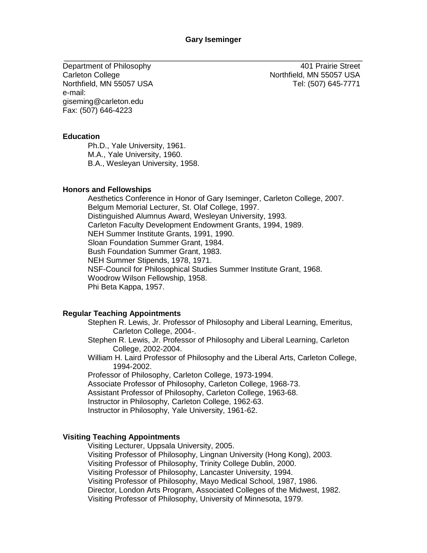\_\_\_\_\_\_\_\_\_\_\_\_\_\_\_\_\_\_\_\_\_\_\_\_\_\_\_\_\_\_\_\_\_\_\_\_\_\_\_\_\_\_\_\_\_\_\_\_\_\_\_\_\_\_\_\_\_\_\_\_\_\_\_\_\_\_\_\_\_\_

Department of Philosophy Carleton College Northfield, MN 55057 USA e-mail: giseming@carleton.edu Fax: (507) 646-4223

401 Prairie Street Northfield, MN 55057 USA Tel: (507) 645-7771

### **Education**

Ph.D., Yale University, 1961. M.A., Yale University, 1960. B.A., Wesleyan University, 1958.

### **Honors and Fellowships**

Aesthetics Conference in Honor of Gary Iseminger, Carleton College, 2007. Belgum Memorial Lecturer, St. Olaf College, 1997. Distinguished Alumnus Award, Wesleyan University, 1993. Carleton Faculty Development Endowment Grants, 1994, 1989. NEH Summer Institute Grants, 1991, 1990. Sloan Foundation Summer Grant, 1984. Bush Foundation Summer Grant, 1983. NEH Summer Stipends, 1978, 1971. NSF-Council for Philosophical Studies Summer Institute Grant, 1968. Woodrow Wilson Fellowship, 1958. Phi Beta Kappa, 1957.

# **Regular Teaching Appointments**

Stephen R. Lewis, Jr. Professor of Philosophy and Liberal Learning, Emeritus, Carleton College, 2004-.

Stephen R. Lewis, Jr. Professor of Philosophy and Liberal Learning, Carleton College, 2002-2004.

William H. Laird Professor of Philosophy and the Liberal Arts, Carleton College, 1994-2002.

Professor of Philosophy, Carleton College, 1973-1994. Associate Professor of Philosophy, Carleton College, 1968-73. Assistant Professor of Philosophy, Carleton College, 1963-68. Instructor in Philosophy, Carleton College, 1962-63. Instructor in Philosophy, Yale University, 1961-62.

### **Visiting Teaching Appointments**

Visiting Lecturer, Uppsala University, 2005. Visiting Professor of Philosophy, Lingnan University (Hong Kong), 2003. Visiting Professor of Philosophy, Trinity College Dublin, 2000. Visiting Professor of Philosophy, Lancaster University, 1994. Visiting Professor of Philosophy, Mayo Medical School, 1987, 1986. Director, London Arts Program, Associated Colleges of the Midwest, 1982. Visiting Professor of Philosophy, University of Minnesota, 1979.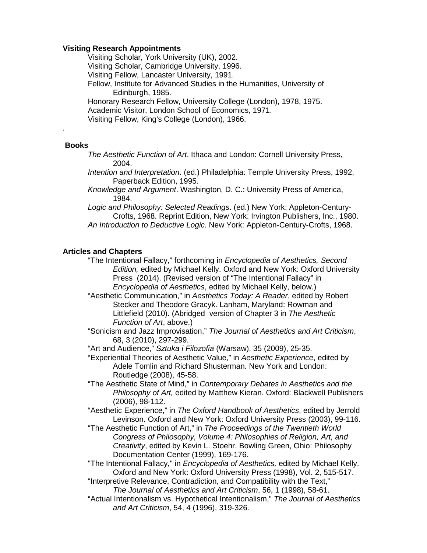## **Visiting Research Appointments**

Visiting Scholar, York University (UK), 2002.

Visiting Scholar, Cambridge University, 1996.

Visiting Fellow, Lancaster University, 1991.

Fellow, Institute for Advanced Studies in the Humanities, University of Edinburgh, 1985.

Honorary Research Fellow, University College (London), 1978, 1975. Academic Visitor, London School of Economics, 1971.

Visiting Fellow, King's College (London), 1966.

### **Books**

.

*The Aesthetic Function of Art*. Ithaca and London: Cornell University Press, 2004.

*Intention and Interpretation*. (ed.) Philadelphia: Temple University Press, 1992, Paperback Edition, 1995.

*Knowledge and Argument*. Washington, D. C.: University Press of America, 1984.

*Logic and Philosophy: Selected Readings*. (ed.) New York: Appleton-Century-Crofts, 1968. Reprint Edition, New York: Irvington Publishers, Inc., 1980. *An Introduction to Deductive Logic.* New York: Appleton-Century-Crofts, 1968.

### **Articles and Chapters**

"The Intentional Fallacy," forthcoming in *Encyclopedia of Aesthetics, Second Edition,* edited by Michael Kelly. Oxford and New York: Oxford University Press (2014). (Revised version of "The Intentional Fallacy" in *Encyclopedia of Aesthetics*, edited by Michael Kelly, below.)

"Aesthetic Communication," in *Aesthetics Today: A Reader*, edited by Robert Stecker and Theodore Gracyk. Lanham, Maryland: Rowman and Littlefield (2010). (Abridged version of Chapter 3 in *The Aesthetic Function of Art*, above.)

"Sonicism and Jazz Improvisation," *The Journal of Aesthetics and Art Criticism*, 68, 3 (2010), 297-299.

"Art and Audience," *Sztuka i Filozofia* (Warsaw), 35 (2009), 25-35.

"Experiential Theories of Aesthetic Value," in *Aesthetic Experience*, edited by Adele Tomlin and Richard Shusterman. New York and London: Routledge (2008), 45-58.

"The Aesthetic State of Mind," in *Contemporary Debates in Aesthetics and the Philosophy of Art,* edited by Matthew Kieran. Oxford: Blackwell Publishers (2006), 98-112.

"Aesthetic Experience," in *The Oxford Handbook of Aesthetics*, edited by Jerrold Levinson. Oxford and New York: Oxford University Press (2003), 99-116.

"The Aesthetic Function of Art," in *The Proceedings of the Twentieth World Congress of Philosophy, Volume 4: Philosophies of Religion, Art, and Creativity*, edited by Kevin L. Stoehr. Bowling Green, Ohio: Philosophy Documentation Center (1999), 169-176.

"The Intentional Fallacy," in *Encyclopedia of Aesthetics,* edited by Michael Kelly. Oxford and New York: Oxford University Press (1998), Vol. 2, 515-517.

"Interpretive Relevance, Contradiction, and Compatibility with the Text," *The Journal of Aesthetics and Art Criticism*, 56, 1 (1998), 58-61.

"Actual Intentionalism vs. Hypothetical Intentionalism," *The Journal of Aesthetics and Art Criticism*, 54, 4 (1996), 319-326.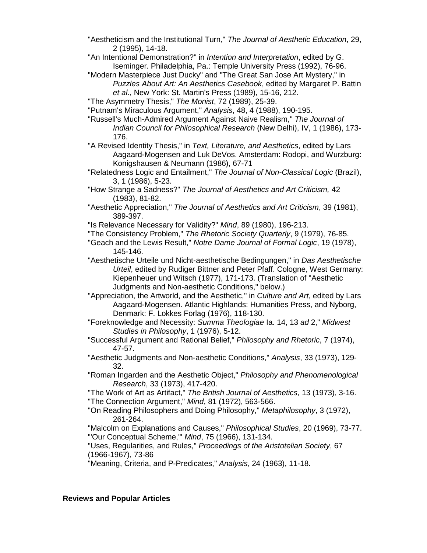- "Aestheticism and the Institutional Turn," *The Journal of Aesthetic Education*, 29, 2 (1995), 14-18.
- "An Intentional Demonstration?" in *Intention and Interpretation*, edited by G. Iseminger. Philadelphia, Pa.: Temple University Press (1992), 76-96.
- "Modern Masterpiece Just Ducky" and "The Great San Jose Art Mystery," in *Puzzles About Art: An Aesthetics Casebook*, edited by Margaret P. Battin *et al*., New York: St. Martin's Press (1989), 15-16, 212.
- "The Asymmetry Thesis," *The Monist*, 72 (1989), 25-39.
- "Putnam's Miraculous Argument," *Analysis*, 48, 4 (1988), 190-195.

"Russell's Much-Admired Argument Against Naive Realism," *The Journal of Indian Council for Philosophical Research* (New Delhi), IV, 1 (1986), 173- 176.

"A Revised Identity Thesis," in *Text, Literature, and Aesthetics*, edited by Lars Aagaard-Mogensen and Luk DeVos. Amsterdam: Rodopi, and Wurzburg: Konigshausen & Neumann (1986), 67-71

- "Relatedness Logic and Entailment," *The Journal of Non-Classical Logic* (Brazil), 3, 1 (1986), 5-23.
- "How Strange a Sadness?" *The Journal of Aesthetics and Art Criticism,* 42 (1983), 81-82.
- "Aesthetic Appreciation," *The Journal of Aesthetics and Art Criticism*, 39 (1981), 389-397.
- "Is Relevance Necessary for Validity?" *Mind*, 89 (1980), 196-213.
- "The Consistency Problem," *The Rhetoric Society Quarterly*, 9 (1979), 76-85.
- "Geach and the Lewis Result," *Notre Dame Journal of Formal Logic*, 19 (1978), 145-146.

"Aesthetische Urteile und Nicht-aesthetische Bedingungen," in *Das Aesthetische Urteil*, edited by Rudiger Bittner and Peter Pfaff. Cologne, West Germany: Kiepenheuer und Witsch (1977), 171-173. (Translation of "Aesthetic Judgments and Non-aesthetic Conditions," below.)

"Appreciation, the Artworld, and the Aesthetic," in *Culture and Art*, edited by Lars Aagaard-Mogensen. Atlantic Highlands: Humanities Press, and Nyborg, Denmark: F. Lokkes Forlag (1976), 118-130.

"Foreknowledge and Necessity: *Summa Theologiae* Ia. 14, 13 *ad* 2," *Midwest Studies in Philosophy*, 1 (1976), 5-12.

- "Successful Argument and Rational Belief," *Philosophy and Rhetoric*, 7 (1974), 47-57.
- "Aesthetic Judgments and Non-aesthetic Conditions," *Analysis*, 33 (1973), 129- 32.
- "Roman Ingarden and the Aesthetic Object," *Philosophy and Phenomenological Research*, 33 (1973), 417-420.

"The Work of Art as Artifact," *The British Journal of Aesthetics*, 13 (1973), 3-16. "The Connection Argument," *Mind*, 81 (1972), 563-566.

- "On Reading Philosophers and Doing Philosophy," *Metaphilosophy*, 3 (1972), 261-264.
- "Malcolm on Explanations and Causes," *Philosophical Studies*, 20 (1969), 73-77. "'Our Conceptual Scheme,'" *Mind*, 75 (1966), 131-134.

"Uses, Regularities, and Rules," *Proceedings of the Aristotelian Society*, 67 (1966-1967), 73-86

"Meaning, Criteria, and P-Predicates," *Analysis*, 24 (1963), 11-18.

# **Reviews and Popular Articles**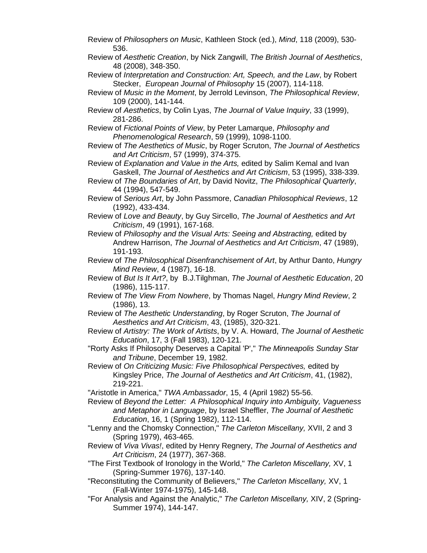- Review of *Philosophers on Music*, Kathleen Stock (ed.), *Mind*, 118 (2009), 530- 536.
- Review of *Aesthetic Creation*, by Nick Zangwill, *The British Journal of Aesthetics*, 48 (2008), 348-350.
- Review of *Interpretation and Construction: Art, Speech, and the Law*, by Robert Stecker, *European Journal of Philosophy* 15 (2007), 114-118.
- Review of *Music in the Moment*, by Jerrold Levinson, *The Philosophical Review*, 109 (2000), 141-144.
- Review of *Aesthetics*, by Colin Lyas, *The Journal of Value Inquiry*, 33 (1999), 281-286.
- Review of *Fictional Points of View*, by Peter Lamarque, *Philosophy and Phenomenological Research*, 59 (1999), 1098-1100.
- Review of *The Aesthetics of Music*, by Roger Scruton, *The Journal of Aesthetics and Art Criticism*, 57 (1999), 374-375.
- Review of *Explanation and Value in the Arts,* edited by Salim Kemal and Ivan Gaskell, *The Journal of Aesthetics and Art Criticism*, 53 (1995), 338-339.
- Review of *The Boundaries of Art*, by David Novitz, *The Philosophical Quarterly*, 44 (1994), 547-549.
- Review of *Serious Art*, by John Passmore, *Canadian Philosophical Reviews*, 12 (1992), 433-434.
- Review of *Love and Beauty*, by Guy Sircello, *The Journal of Aesthetics and Art Criticism*, 49 (1991), 167-168.
- Review of *Philosophy and the Visual Arts: Seeing and Abstracting,* edited by Andrew Harrison, *The Journal of Aesthetics and Art Criticism*, 47 (1989), 191-193.
- Review of *The Philosophical Disenfranchisement of Art*, by Arthur Danto, *Hungry Mind Review*, 4 (1987), 16-18.
- Review of *But Is It Art?*, by B.J.Tilghman, *The Journal of Aesthetic Education*, 20 (1986), 115-117.
- Review of *The View From Nowhere*, by Thomas Nagel, *Hungry Mind Review*, 2 (1986), 13.
- Review of *The Aesthetic Understanding*, by Roger Scruton, *The Journal of Aesthetics and Art Criticism*, 43, (1985), 320-321.
- Review of *Artistry: The Work of Artists*, by V. A. Howard, *The Journal of Aesthetic Education*, 17, 3 (Fall 1983), 120-121.
- "Rorty Asks If Philosophy Deserves a Capital 'P'," *The Minneapolis Sunday Star and Tribune*, December 19, 1982.
- Review of *On Criticizing Music: Five Philosophical Perspectives,* edited by Kingsley Price, *The Journal of Aesthetics and Art Criticism*, 41, (1982), 219-221.
- "Aristotle in America," *TWA Ambassador*, 15, 4 (April 1982) 55-56.
- Review of *Beyond the Letter: A Philosophical Inquiry into Ambiguity, Vagueness and Metaphor in Language*, by Israel Sheffler, *The Journal of Aesthetic Education*, 16, 1 (Spring 1982), 112-114.
- "Lenny and the Chomsky Connection," *The Carleton Miscellany,* XVII, 2 and 3 (Spring 1979), 463-465.
- Review of *Viva Vivas!*, edited by Henry Regnery, *The Journal of Aesthetics and Art Criticism*, 24 (1977), 367-368.
- "The First Textbook of Ironology in the World," *The Carleton Miscellany,* XV, 1 (Spring-Summer 1976), 137-140.
- "Reconstituting the Community of Believers," *The Carleton Miscellany,* XV, 1 (Fall-Winter 1974-1975), 145-148.
- "For Analysis and Against the Analytic," *The Carleton Miscellany,* XIV, 2 (Spring-Summer 1974), 144-147.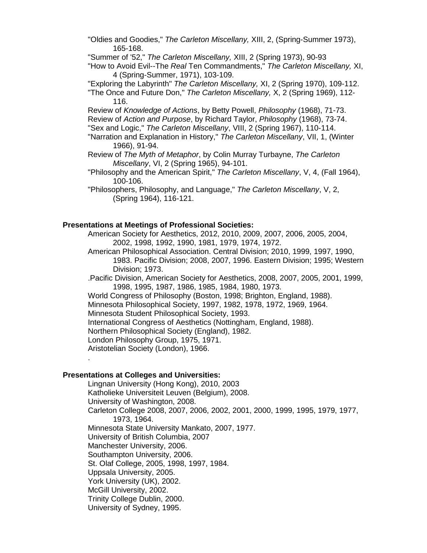"Oldies and Goodies," *The Carleton Miscellany,* XIII, 2, (Spring-Summer 1973), 165-168.

"Summer of '52," *The Carleton Miscellany,* XIII, 2 (Spring 1973), 90-93

"How to Avoid Evil--The *Real* Ten Commandments," *The Carleton Miscellany,* XI, 4 (Spring-Summer, 1971), 103-109.

"Exploring the Labyrinth" *The Carleton Miscellany,* XI, 2 (Spring 1970), 109-112. "The Once and Future Don," *The Carleton Miscellany,* X, 2 (Spring 1969), 112-

116.

Review of *Knowledge of Actions*, by Betty Powell, *Philosophy* (1968), 71-73. Review of *Action and Purpose*, by Richard Taylor, *Philosophy* (1968), 73-74. "Sex and Logic," *The Carleton Miscellany*, VIII, 2 (Spring 1967), 110-114.

"Narration and Explanation in History," *The Carleton Miscellany*, VII, 1, (Winter 1966), 91-94.

- Review of *The Myth of Metaphor*, by Colin Murray Turbayne, *The Carleton Miscellany*, VI, 2 (Spring 1965), 94-101.
- "Philosophy and the American Spirit," *The Carleton Miscellany*, V, 4, (Fall 1964), 100-106.

"Philosophers, Philosophy, and Language," *The Carleton Miscellany*, V, 2, (Spring 1964), 116-121.

### **Presentations at Meetings of Professional Societies:**

American Society for Aesthetics, 2012, 2010, 2009, 2007, 2006, 2005, 2004, 2002, 1998, 1992, 1990, 1981, 1979, 1974, 1972.

American Philosophical Association. Central Division; 2010, 1999, 1997, 1990, 1983. Pacific Division; 2008, 2007, 1996. Eastern Division; 1995; Western Division; 1973.

.Pacific Division, American Society for Aesthetics, 2008, 2007, 2005, 2001, 1999, 1998, 1995, 1987, 1986, 1985, 1984, 1980, 1973.

World Congress of Philosophy (Boston, 1998; Brighton, England, 1988).

Minnesota Philosophical Society, 1997, 1982, 1978, 1972, 1969, 1964.

Minnesota Student Philosophical Society, 1993.

International Congress of Aesthetics (Nottingham, England, 1988).

Northern Philosophical Society (England), 1982.

London Philosophy Group, 1975, 1971.

Aristotelian Society (London), 1966.

### **Presentations at Colleges and Universities:**

.

Lingnan University (Hong Kong), 2010, 2003 Katholieke Universiteit Leuven (Belgium), 2008. University of Washington, 2008. Carleton College 2008, 2007, 2006, 2002, 2001, 2000, 1999, 1995, 1979, 1977, 1973, 1964. Minnesota State University Mankato, 2007, 1977. University of British Columbia, 2007 Manchester University, 2006. Southampton University, 2006. St. Olaf College, 2005, 1998, 1997, 1984. Uppsala University, 2005. York University (UK), 2002. McGill University, 2002. Trinity College Dublin, 2000. University of Sydney, 1995.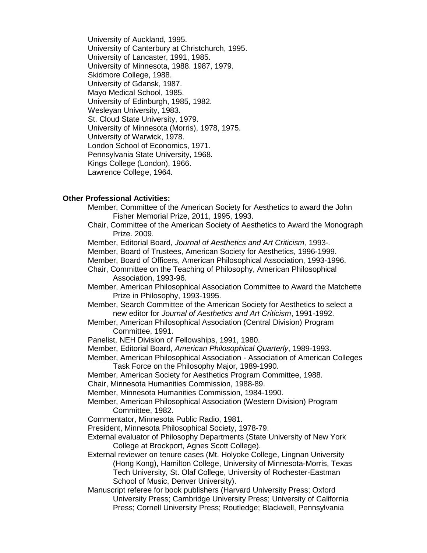University of Auckland, 1995. University of Canterbury at Christchurch, 1995. University of Lancaster, 1991, 1985. University of Minnesota, 1988. 1987, 1979. Skidmore College, 1988. University of Gdansk, 1987. Mayo Medical School, 1985. University of Edinburgh, 1985, 1982. Wesleyan University, 1983. St. Cloud State University, 1979. University of Minnesota (Morris), 1978, 1975. University of Warwick, 1978. London School of Economics, 1971. Pennsylvania State University, 1968. Kings College (London), 1966. Lawrence College, 1964.

## **Other Professional Activities:**

- Member, Committee of the American Society for Aesthetics to award the John Fisher Memorial Prize, 2011, 1995, 1993.
- Chair, Committee of the American Society of Aesthetics to Award the Monograph Prize. 2009.
- Member, Editorial Board, *Journal of Aesthetics and Art Criticism,* 1993*-.*
- Member, Board of Trustees, American Society for Aesthetics, 1996-1999.
- Member, Board of Officers, American Philosophical Association, 1993-1996.

Chair, Committee on the Teaching of Philosophy, American Philosophical Association, 1993-96.

Member, American Philosophical Association Committee to Award the Matchette Prize in Philosophy, 1993-1995.

Member, Search Committee of the American Society for Aesthetics to select a new editor for *Journal of Aesthetics and Art Criticism*, 1991-1992.

Member, American Philosophical Association (Central Division) Program Committee, 1991.

- Panelist, NEH Division of Fellowships, 1991, 1980.
- Member, Editorial Board, *American Philosophical Quarterly*, 1989-1993.

Member, American Philosophical Association - Association of American Colleges Task Force on the Philosophy Major, 1989-1990.

Member, American Society for Aesthetics Program Committee, 1988.

Chair, Minnesota Humanities Commission, 1988-89.

Member, Minnesota Humanities Commission, 1984-1990.

Member, American Philosophical Association (Western Division) Program Committee, 1982.

Commentator, Minnesota Public Radio, 1981.

President, Minnesota Philosophical Society, 1978-79.

- External evaluator of Philosophy Departments (State University of New York College at Brockport, Agnes Scott College).
- External reviewer on tenure cases (Mt. Holyoke College, Lingnan University (Hong Kong), Hamilton College, University of Minnesota-Morris, Texas Tech University, St. Olaf College, University of Rochester-Eastman School of Music, Denver University).

Manuscript referee for book publishers (Harvard University Press; Oxford University Press; Cambridge University Press; University of California Press; Cornell University Press; Routledge; Blackwell, Pennsylvania